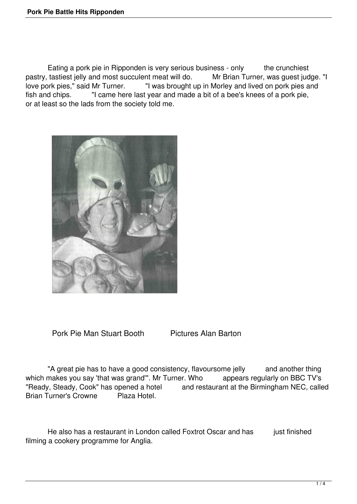Eating a pork pie in Ripponden is very serious business - only the crunchiest pastry, tastiest jelly and most succulent meat will do. Mr Brian Turner, was quest judge. "I love pork pies," said Mr Turner. "I was brought up in Morley and lived on pork pies and fish and chips. "I came here last year and made a bit of a bee's knees of a pork pie, or at least so the lads from the society told me.



Pork Pie Man Stuart Booth Pictures Alan Barton

"A great pie has to have a good consistency, flavoursome jelly and another thing which makes you say 'that was grand'". Mr Turner. Who appears regularly on BBC TV's "Ready, Steady, Cook" has opened a hotel and restaurant at the Birmingham NEC, called Brian Turner's Crowne Plaza Hotel.

He also has a restaurant in London called Foxtrot Oscar and has just finished filming a cookery programme for Anglia.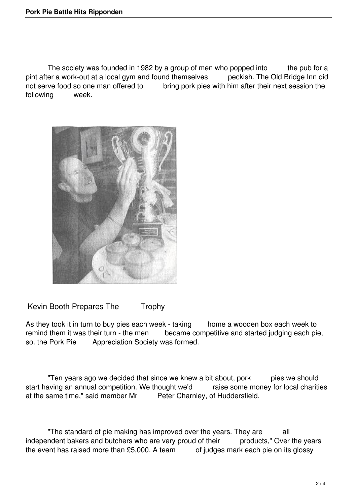The society was founded in 1982 by a group of men who popped into the pub for a pint after a work-out at a local gym and found themselves peckish. The Old Bridge Inn did not serve food so one man offered to bring pork pies with him after their next session the following week.



Kevin Booth Prepares The Trophy

As they took it in turn to buy pies each week - taking home a wooden box each week to remind them it was their turn - the men became competitive and started judging each pie, so. the Pork Pie Appreciation Society was formed.

"Ten years ago we decided that since we knew a bit about, pork pies we should start having an annual competition. We thought we'd raise some money for local charities at the same time," said member Mr Peter Charnley, of Huddersfield.

"The standard of pie making has improved over the years. They are all independent bakers and butchers who are very proud of their products," Over the years the event has raised more than £5,000. A team of judges mark each pie on its glossy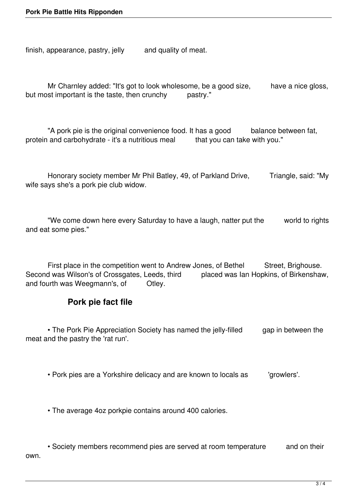finish, appearance, pastry, jelly and quality of meat.

Mr Charnley added: "It's got to look wholesome, be a good size, have a nice gloss, but most important is the taste, then crunchy pastry."

"A pork pie is the original convenience food. It has a good balance between fat, protein and carbohydrate - it's a nutritious meal that you can take with you."

Honorary society member Mr Phil Batley, 49, of Parkland Drive, Triangle, said: "My wife says she's a pork pie club widow.

 "We come down here every Saturday to have a laugh, natter put the world to rights and eat some pies."

First place in the competition went to Andrew Jones, of Bethel Street, Brighouse. Second was Wilson's of Crossgates, Leeds, third placed was Ian Hopkins, of Birkenshaw, and fourth was Weegmann's, of Otley.

## **Pork pie fact file**

• The Pork Pie Appreciation Society has named the jelly-filled gap in between the meat and the pastry the 'rat run'.

• Pork pies are a Yorkshire delicacy and are known to locals as 'growlers'.

• The average 4oz porkpie contains around 400 calories.

• Society members recommend pies are served at room temperature and on their own.